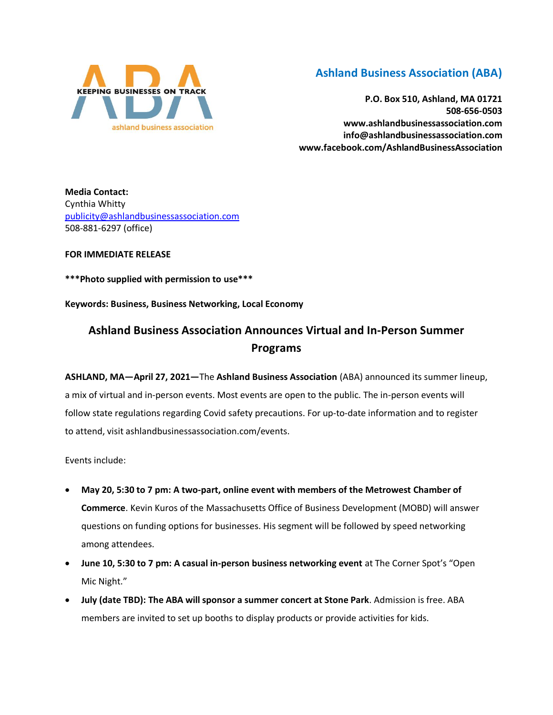

## **Ashland Business Association (ABA)**

**P.O. Box 510, Ashland, MA 01721 508-656-0503 www.ashlandbusinessassociation.com info@ashlandbusinessassociation.com www.facebook.com/AshlandBusinessAssociation**

**Media Contact:** Cynthia Whitty [publicity@ashlandbusinessassociation.com](mailto:publicity@ashlandbusinessassociation.com) 508-881-6297 (office)

## **FOR IMMEDIATE RELEASE**

**\*\*\*Photo supplied with permission to use\*\*\***

**Keywords: Business, Business Networking, Local Economy**

## **Ashland Business Association Announces Virtual and In-Person Summer Programs**

**ASHLAND, MA—April 27, 2021—**The **Ashland Business Association** (ABA) announced its summer lineup, a mix of virtual and in-person events. Most events are open to the public. The in-person events will follow state regulations regarding Covid safety precautions. For up-to-date information and to register to attend, visit ashlandbusinessassociation.com/events.

Events include:

- **May 20, 5:30 to 7 pm: A two-part, online event with members of the Metrowest Chamber of Commerce**. Kevin Kuros of the Massachusetts Office of Business Development (MOBD) will answer questions on funding options for businesses. His segment will be followed by speed networking among attendees.
- **June 10, 5:30 to 7 pm: A casual in-person business networking event** at The Corner Spot's "Open Mic Night."
- **July (date TBD): The ABA will sponsor a summer concert at Stone Park**. Admission is free. ABA members are invited to set up booths to display products or provide activities for kids.